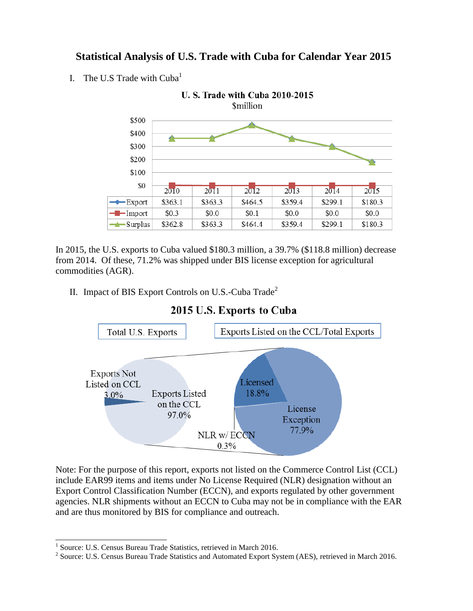## **Statistical Analysis of U.S. Trade with Cuba for Calendar Year 2015**

I. The U.S Trade with  $Cuba<sup>1</sup>$ 



In 2015, the U.S. exports to Cuba valued \$180.3 million, a 39.7% (\$118.8 million) decrease from 2014. Of these, 71.2% was shipped under BIS license exception for agricultural commodities (AGR).

II. Impact of BIS Export Controls on U.S.-Cuba  $\text{Trade}^2$ 



### 2015 U.S. Exports to Cuba

Note: For the purpose of this report, exports not listed on the Commerce Control List (CCL) include EAR99 items and items under No License Required (NLR) designation without an Export Control Classification Number (ECCN), and exports regulated by other government agencies. NLR shipments without an ECCN to Cuba may not be in compliance with the EAR and are thus monitored by BIS for compliance and outreach.

 1 Source: U.S. Census Bureau Trade Statistics, retrieved in March 2016.

<sup>&</sup>lt;sup>2</sup> Source: U.S. Census Bureau Trade Statistics and Automated Export System (AES), retrieved in March 2016.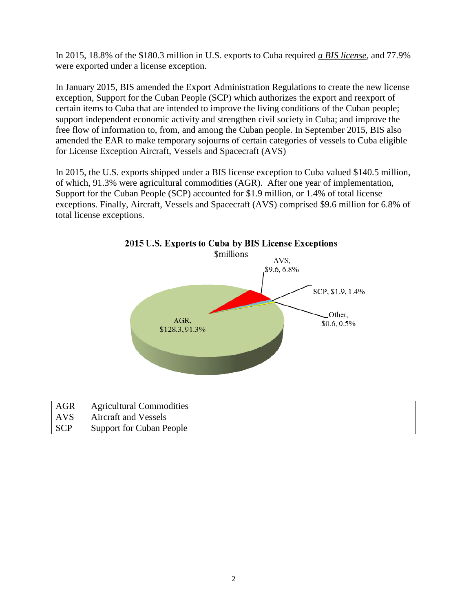In 2015, 18.8% of the \$180.3 million in U.S. exports to Cuba required *a BIS license,* and 77.9% were exported under a license exception.

In January 2015, BIS amended the Export Administration Regulations to create the new license exception, Support for the Cuban People (SCP) which authorizes the export and reexport of certain items to Cuba that are intended to improve the living conditions of the Cuban people; support independent economic activity and strengthen civil society in Cuba; and improve the free flow of information to, from, and among the Cuban people. In September 2015, BIS also amended the EAR to make temporary sojourns of certain categories of vessels to Cuba eligible for License Exception Aircraft, Vessels and Spacecraft (AVS)

In 2015, the U.S. exports shipped under a BIS license exception to Cuba valued \$140.5 million, of which, 91.3% were agricultural commodities (AGR). After one year of implementation, Support for the Cuban People (SCP) accounted for \$1.9 million, or 1.4% of total license exceptions. Finally, Aircraft, Vessels and Spacecraft (AVS) comprised \$9.6 million for 6.8% of total license exceptions.



| <b>AGR</b> | <b>Agricultural Commodities</b> |
|------------|---------------------------------|
| AVS        | <b>Aircraft and Vessels</b>     |
| <b>SCP</b> | Support for Cuban People        |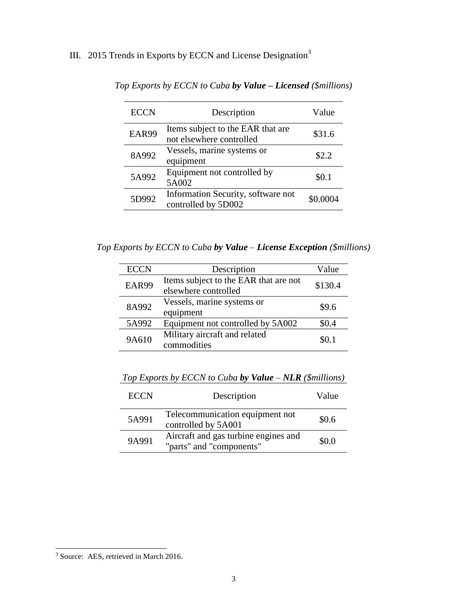# III. 2015 Trends in Exports by ECCN and License Designation<sup>3</sup>

| <b>ECCN</b> | Description                                                   | Value    |
|-------------|---------------------------------------------------------------|----------|
| EAR99       | Items subject to the EAR that are<br>not elsewhere controlled | \$31.6   |
| 8A992       | Vessels, marine systems or<br>equipment                       | \$2.2    |
| 5A992       | Equipment not controlled by<br>5A002                          | \$0.1    |
| 5D992       | Information Security, software not<br>controlled by 5D002     | \$0.0004 |

*Top Exports by ECCN to Cuba by Value – Licensed (\$millions)*

*Top Exports by ECCN to Cuba by Value – License Exception (\$millions)*

| <b>ECCN</b> | Description                                                   | Value   |
|-------------|---------------------------------------------------------------|---------|
| EAR99       | Items subject to the EAR that are not<br>elsewhere controlled | \$130.4 |
| 8A992       | Vessels, marine systems or<br>equipment                       | \$9.6   |
| 5A992       | Equipment not controlled by 5A002                             | \$0.4   |
| 9A610       | Military aircraft and related<br>commodities                  | SO.1    |

*Top Exports by ECCN to Cuba by Value – NLR (\$millions)*

| <b>ECCN</b> | Description                                                      | Value |
|-------------|------------------------------------------------------------------|-------|
| 5A991       | Telecommunication equipment not<br>controlled by 5A001           | \$0.6 |
| 9A991       | Aircraft and gas turbine engines and<br>"parts" and "components" | \$0.0 |

<sup>&</sup>lt;sup>3</sup> Source: AES, retrieved in March 2016.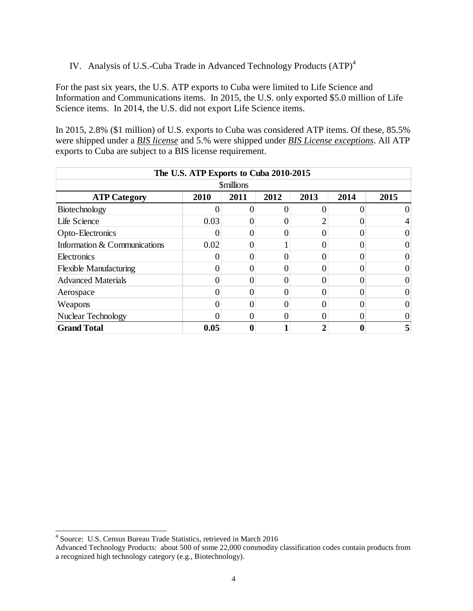### IV. Analysis of U.S.-Cuba Trade in Advanced Technology Products (ATP)<sup>4</sup>

For the past six years, the U.S. ATP exports to Cuba were limited to Life Science and Information and Communications items. In 2015, the U.S. only exported \$5.0 million of Life Science items. In 2014, the U.S. did not export Life Science items.

In 2015, 2.8% (\$1 million) of U.S. exports to Cuba was considered ATP items. Of these, 85.5% were shipped under a *BIS license* and 5.% were shipped under *BIS License exceptions*. All ATP exports to Cuba are subject to a BIS license requirement.

| The U.S. ATP Exports to Cuba 2010-2015 |      |      |      |          |      |      |  |  |  |
|----------------------------------------|------|------|------|----------|------|------|--|--|--|
| <b>Smillions</b>                       |      |      |      |          |      |      |  |  |  |
| <b>ATP Category</b>                    | 2010 | 2011 | 2012 | 2013     | 2014 | 2015 |  |  |  |
| Biotechnology                          |      |      |      |          |      |      |  |  |  |
| Life Science                           | 0.03 |      |      | ി        |      |      |  |  |  |
| Opto-Electronics                       | U    | 0    | 0    | 0        |      |      |  |  |  |
| Information & Communications           | 0.02 |      |      |          |      |      |  |  |  |
| Electronics                            |      |      |      | 0        |      |      |  |  |  |
| <b>Flexible Manufacturing</b>          |      |      |      | 0        |      |      |  |  |  |
| <b>Advanced Materials</b>              |      |      |      |          |      |      |  |  |  |
| Aerospace                              |      |      |      | 0        |      |      |  |  |  |
| Weapons                                |      |      |      |          |      |      |  |  |  |
| <b>Nuclear Technology</b>              |      | 0    | 0    | $\Omega$ |      |      |  |  |  |
| <b>Grand Total</b>                     | 0.05 |      |      |          |      |      |  |  |  |

 $\overline{a}$ 

<sup>4</sup> Source: U.S. Census Bureau Trade Statistics, retrieved in March 2016

Advanced Technology Products: about 500 of some 22,000 commodity classification codes contain products from a recognized high technology category (e.g., Biotechnology).